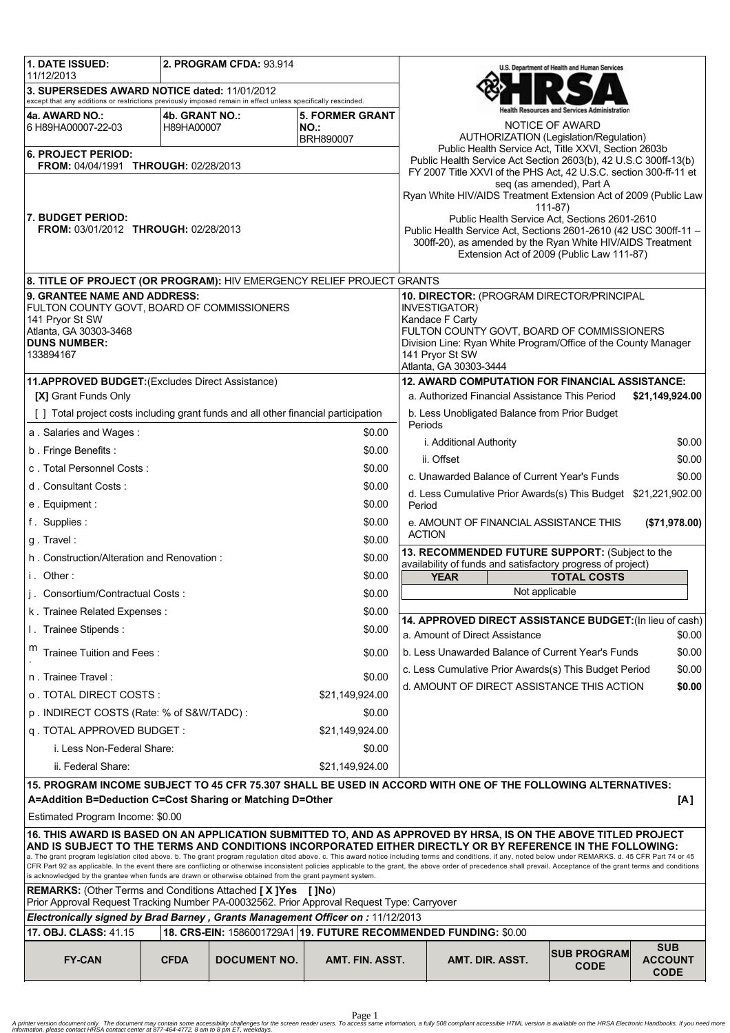| 1. DATE ISSUED:                                                                                                                                                                                                                                                                                                                                                                                                                   |                | 2. PROGRAM CFDA: 93.914 |                                                                                                                |                                                                               |                                                                                                                                      | U.S. Department of Health and Human Services |                               |
|-----------------------------------------------------------------------------------------------------------------------------------------------------------------------------------------------------------------------------------------------------------------------------------------------------------------------------------------------------------------------------------------------------------------------------------|----------------|-------------------------|----------------------------------------------------------------------------------------------------------------|-------------------------------------------------------------------------------|--------------------------------------------------------------------------------------------------------------------------------------|----------------------------------------------|-------------------------------|
| 11/12/2013<br>3. SUPERSEDES AWARD NOTICE dated: 11/01/2012<br>except that any additions or restrictions previously imposed remain in effect unless specifically rescinded.                                                                                                                                                                                                                                                        |                |                         |                                                                                                                |                                                                               |                                                                                                                                      |                                              |                               |
| 4a. AWARD NO.:                                                                                                                                                                                                                                                                                                                                                                                                                    | 4b. GRANT NO.: |                         | <b>5. FORMER GRANT</b>                                                                                         |                                                                               |                                                                                                                                      | h Resources and Services Administration      |                               |
| 6 H89HA00007-22-03                                                                                                                                                                                                                                                                                                                                                                                                                | H89HA00007     |                         | NO.:                                                                                                           |                                                                               |                                                                                                                                      | NOTICE OF AWARD                              |                               |
| <b>BRH890007</b><br><b>6. PROJECT PERIOD:</b>                                                                                                                                                                                                                                                                                                                                                                                     |                |                         |                                                                                                                |                                                                               | AUTHORIZATION (Legislation/Regulation)<br>Public Health Service Act, Title XXVI, Section 2603b                                       |                                              |                               |
| FROM: 04/04/1991 THROUGH: 02/28/2013                                                                                                                                                                                                                                                                                                                                                                                              |                |                         |                                                                                                                |                                                                               | Public Health Service Act Section 2603(b), 42 U.S.C 300ff-13(b)<br>FY 2007 Title XXVI of the PHS Act, 42 U.S.C. section 300-ff-11 et |                                              |                               |
|                                                                                                                                                                                                                                                                                                                                                                                                                                   |                |                         |                                                                                                                |                                                                               |                                                                                                                                      | seg (as amended), Part A                     |                               |
|                                                                                                                                                                                                                                                                                                                                                                                                                                   |                |                         |                                                                                                                |                                                                               | Ryan White HIV/AIDS Treatment Extension Act of 2009 (Public Law                                                                      | 111-87)                                      |                               |
| <b>7. BUDGET PERIOD:</b>                                                                                                                                                                                                                                                                                                                                                                                                          |                |                         |                                                                                                                |                                                                               | Public Health Service Act, Sections 2601-2610                                                                                        |                                              |                               |
| FROM: 03/01/2012 THROUGH: 02/28/2013                                                                                                                                                                                                                                                                                                                                                                                              |                |                         |                                                                                                                |                                                                               | Public Health Service Act, Sections 2601-2610 (42 USC 300ff-11 -<br>300ff-20), as amended by the Ryan White HIV/AIDS Treatment       |                                              |                               |
|                                                                                                                                                                                                                                                                                                                                                                                                                                   |                |                         |                                                                                                                |                                                                               | Extension Act of 2009 (Public Law 111-87)                                                                                            |                                              |                               |
| 8. TITLE OF PROJECT (OR PROGRAM): HIV EMERGENCY RELIEF PROJECT GRANTS                                                                                                                                                                                                                                                                                                                                                             |                |                         |                                                                                                                |                                                                               |                                                                                                                                      |                                              |                               |
| 9. GRANTEE NAME AND ADDRESS:                                                                                                                                                                                                                                                                                                                                                                                                      |                |                         |                                                                                                                | 10. DIRECTOR: (PROGRAM DIRECTOR/PRINCIPAL<br>INVESTIGATOR)<br>Kandace F Carty |                                                                                                                                      |                                              |                               |
| FULTON COUNTY GOVT, BOARD OF COMMISSIONERS<br>141 Pryor St SW                                                                                                                                                                                                                                                                                                                                                                     |                |                         |                                                                                                                |                                                                               |                                                                                                                                      |                                              |                               |
| Atlanta, GA 30303-3468<br><b>DUNS NUMBER:</b>                                                                                                                                                                                                                                                                                                                                                                                     |                |                         |                                                                                                                |                                                                               | FULTON COUNTY GOVT, BOARD OF COMMISSIONERS<br>Division Line: Ryan White Program/Office of the County Manager                         |                                              |                               |
| 133894167                                                                                                                                                                                                                                                                                                                                                                                                                         |                |                         |                                                                                                                |                                                                               | 141 Pryor St SW                                                                                                                      |                                              |                               |
|                                                                                                                                                                                                                                                                                                                                                                                                                                   |                |                         |                                                                                                                | Atlanta, GA 30303-3444<br>12. AWARD COMPUTATION FOR FINANCIAL ASSISTANCE:     |                                                                                                                                      |                                              |                               |
| 11.APPROVED BUDGET: (Excludes Direct Assistance)<br>[X] Grant Funds Only                                                                                                                                                                                                                                                                                                                                                          |                |                         |                                                                                                                |                                                                               | a. Authorized Financial Assistance This Period                                                                                       |                                              | \$21,149,924.00               |
| [ ] Total project costs including grant funds and all other financial participation                                                                                                                                                                                                                                                                                                                                               |                |                         |                                                                                                                |                                                                               | b. Less Unobligated Balance from Prior Budget                                                                                        |                                              |                               |
| a. Salaries and Wages:                                                                                                                                                                                                                                                                                                                                                                                                            |                |                         | \$0.00                                                                                                         | Periods                                                                       |                                                                                                                                      |                                              |                               |
| b. Fringe Benefits:                                                                                                                                                                                                                                                                                                                                                                                                               |                |                         | \$0.00                                                                                                         |                                                                               | i. Additional Authority                                                                                                              |                                              | \$0.00                        |
| c. Total Personnel Costs:                                                                                                                                                                                                                                                                                                                                                                                                         |                |                         | \$0.00                                                                                                         |                                                                               | ii. Offset                                                                                                                           |                                              | \$0.00                        |
| d. Consultant Costs:                                                                                                                                                                                                                                                                                                                                                                                                              |                |                         | \$0.00                                                                                                         |                                                                               | c. Unawarded Balance of Current Year's Funds                                                                                         |                                              | \$0.00                        |
| e. Equipment:                                                                                                                                                                                                                                                                                                                                                                                                                     |                |                         | \$0.00                                                                                                         | d. Less Cumulative Prior Awards(s) This Budget \$21,221,902.00<br>Period      |                                                                                                                                      |                                              |                               |
| f. Supplies:                                                                                                                                                                                                                                                                                                                                                                                                                      |                |                         | \$0.00                                                                                                         | e. AMOUNT OF FINANCIAL ASSISTANCE THIS<br>(\$71,978.00)                       |                                                                                                                                      |                                              |                               |
| g. Travel:                                                                                                                                                                                                                                                                                                                                                                                                                        |                |                         | \$0.00                                                                                                         | <b>ACTION</b>                                                                 |                                                                                                                                      |                                              |                               |
| h. Construction/Alteration and Renovation:<br>\$0.00                                                                                                                                                                                                                                                                                                                                                                              |                |                         | 13. RECOMMENDED FUTURE SUPPORT: (Subject to the<br>availability of funds and satisfactory progress of project) |                                                                               |                                                                                                                                      |                                              |                               |
| i. Other:<br>\$0.00                                                                                                                                                                                                                                                                                                                                                                                                               |                |                         | <b>YEAR</b><br><b>TOTAL COSTS</b>                                                                              |                                                                               |                                                                                                                                      |                                              |                               |
| i. Consortium/Contractual Costs:                                                                                                                                                                                                                                                                                                                                                                                                  |                |                         | \$0.00                                                                                                         |                                                                               | Not applicable                                                                                                                       |                                              |                               |
| k. Trainee Related Expenses:                                                                                                                                                                                                                                                                                                                                                                                                      |                |                         | \$0.00                                                                                                         | 14. APPROVED DIRECT ASSISTANCE BUDGET: (In lieu of cash)                      |                                                                                                                                      |                                              |                               |
| I. Trainee Stipends:                                                                                                                                                                                                                                                                                                                                                                                                              |                |                         | \$0.00                                                                                                         |                                                                               | a. Amount of Direct Assistance                                                                                                       |                                              | \$0.00                        |
| m<br>Trainee Tuition and Fees:<br>\$0.00                                                                                                                                                                                                                                                                                                                                                                                          |                |                         |                                                                                                                | b. Less Unawarded Balance of Current Year's Funds<br>\$0.00                   |                                                                                                                                      |                                              |                               |
| n. Trainee Travel:                                                                                                                                                                                                                                                                                                                                                                                                                |                |                         | \$0.00                                                                                                         |                                                                               | c. Less Cumulative Prior Awards(s) This Budget Period                                                                                |                                              | \$0.00                        |
| o . TOTAL DIRECT COSTS :                                                                                                                                                                                                                                                                                                                                                                                                          |                |                         | \$21,149,924.00                                                                                                |                                                                               | d. AMOUNT OF DIRECT ASSISTANCE THIS ACTION                                                                                           |                                              | \$0.00                        |
| p. INDIRECT COSTS (Rate: % of S&W/TADC):                                                                                                                                                                                                                                                                                                                                                                                          |                |                         | \$0.00                                                                                                         |                                                                               |                                                                                                                                      |                                              |                               |
| q. TOTAL APPROVED BUDGET:<br>\$21,149,924.00                                                                                                                                                                                                                                                                                                                                                                                      |                |                         |                                                                                                                |                                                                               |                                                                                                                                      |                                              |                               |
| i. Less Non-Federal Share:                                                                                                                                                                                                                                                                                                                                                                                                        |                |                         | \$0.00                                                                                                         |                                                                               |                                                                                                                                      |                                              |                               |
| ii. Federal Share:<br>\$21,149,924.00                                                                                                                                                                                                                                                                                                                                                                                             |                |                         |                                                                                                                |                                                                               |                                                                                                                                      |                                              |                               |
| $\vert$ 15. PROGRAM INCOME SUBJECT TO 45 CFR 75.307 SHALL BE USED IN ACCORD WITH ONE OF THE FOLLOWING ALTERNATIVES:                                                                                                                                                                                                                                                                                                               |                |                         |                                                                                                                |                                                                               |                                                                                                                                      |                                              |                               |
| A=Addition B=Deduction C=Cost Sharing or Matching D=Other<br>[A]                                                                                                                                                                                                                                                                                                                                                                  |                |                         |                                                                                                                |                                                                               |                                                                                                                                      |                                              |                               |
| Estimated Program Income: \$0.00<br>16. THIS AWARD IS BASED ON AN APPLICATION SUBMITTED TO, AND AS APPROVED BY HRSA, IS ON THE ABOVE TITLED PROJECT                                                                                                                                                                                                                                                                               |                |                         |                                                                                                                |                                                                               |                                                                                                                                      |                                              |                               |
|                                                                                                                                                                                                                                                                                                                                                                                                                                   |                |                         |                                                                                                                |                                                                               | AND IS SUBJECT TO THE TERMS AND CONDITIONS INCORPORATED EITHER DIRECTLY OR BY REFERENCE IN THE FOLLOWING:                            |                                              |                               |
| a. The grant program legislation cited above. b. The grant program regulation cited above. c. This award notice including terms and conditions, if any, noted below under REMARKS. d. 45 CFR Part 74 or 45<br>CFR Part 92 as applicable. In the event there are conflicting or otherwise inconsistent policies applicable to the grant, the above order of precedence shall prevail. Acceptance of the grant terms and conditions |                |                         |                                                                                                                |                                                                               |                                                                                                                                      |                                              |                               |
| is acknowledged by the grantee when funds are drawn or otherwise obtained from the grant payment system.<br><b>REMARKS:</b> (Other Terms and Conditions Attached [X]Yes<br>[ ]No)                                                                                                                                                                                                                                                 |                |                         |                                                                                                                |                                                                               |                                                                                                                                      |                                              |                               |
| Prior Approval Request Tracking Number PA-00032562. Prior Approval Request Type: Carryover                                                                                                                                                                                                                                                                                                                                        |                |                         |                                                                                                                |                                                                               |                                                                                                                                      |                                              |                               |
| Electronically signed by Brad Barney, Grants Management Officer on: 11/12/2013<br>18. CRS-EIN: 1586001729A1 19. FUTURE RECOMMENDED FUNDING: \$0.00<br>17. OBJ. CLASS: 41.15                                                                                                                                                                                                                                                       |                |                         |                                                                                                                |                                                                               |                                                                                                                                      |                                              |                               |
|                                                                                                                                                                                                                                                                                                                                                                                                                                   |                |                         |                                                                                                                |                                                                               |                                                                                                                                      |                                              | <b>SUB</b>                    |
| <b>FY-CAN</b>                                                                                                                                                                                                                                                                                                                                                                                                                     | <b>CFDA</b>    | <b>DOCUMENT NO.</b>     | AMT. FIN. ASST.                                                                                                |                                                                               | AMT. DIR. ASST.                                                                                                                      | <b>SUB PROGRAM</b><br><b>CODE</b>            | <b>ACCOUNT</b><br><b>CODE</b> |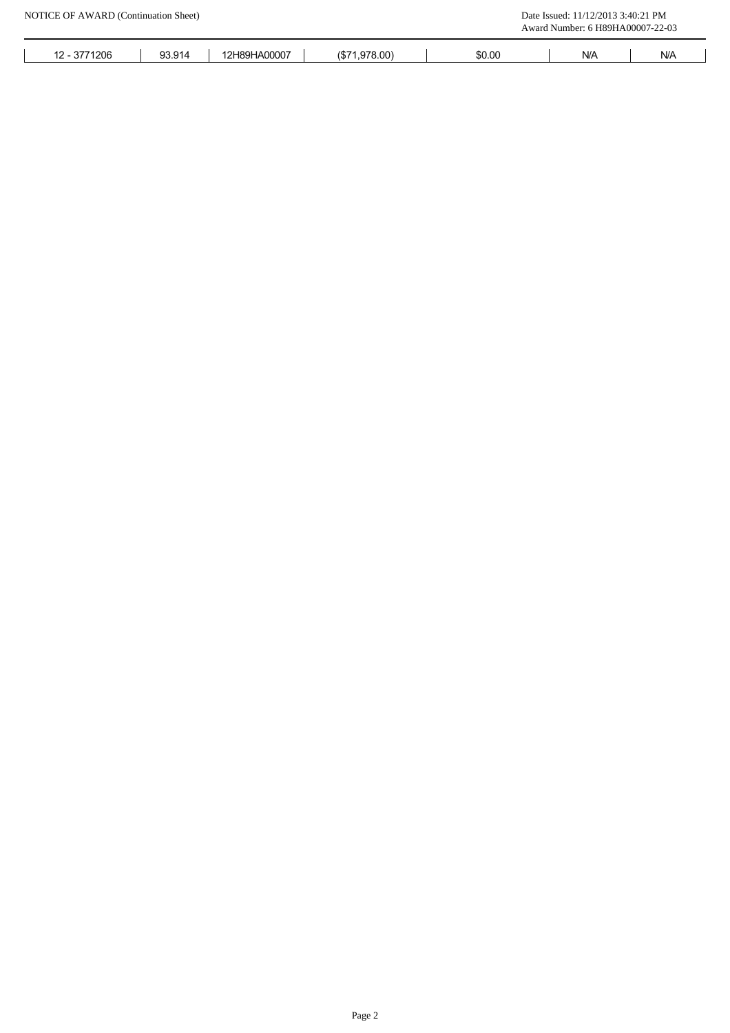|              |        |              |               |        | Award Number: 6 H89HA00007-22-03 |                                   |
|--------------|--------|--------------|---------------|--------|----------------------------------|-----------------------------------|
| 12 - 3771206 | 93.914 | 12H89HA00007 | (\$71,978.00) | \$0.00 | $\mathsf{N}/\mathsf{A}$          | ${\sf N\hspace{-.1em}/}{}{\sf A}$ |
|              |        |              |               |        |                                  |                                   |
|              |        |              |               |        |                                  |                                   |
|              |        |              |               |        |                                  |                                   |
|              |        |              |               |        |                                  |                                   |
|              |        |              |               |        |                                  |                                   |
|              |        |              |               |        |                                  |                                   |
|              |        |              |               |        |                                  |                                   |
|              |        |              |               |        |                                  |                                   |
|              |        |              |               |        |                                  |                                   |
|              |        |              |               |        |                                  |                                   |
|              |        |              |               |        |                                  |                                   |
|              |        |              |               |        |                                  |                                   |
|              |        |              |               |        |                                  |                                   |
|              |        |              |               |        |                                  |                                   |
|              |        |              |               |        |                                  |                                   |
|              |        |              |               |        |                                  |                                   |
|              |        |              |               |        |                                  |                                   |
|              |        |              |               |        |                                  |                                   |
|              |        |              |               |        |                                  |                                   |
|              |        |              |               |        |                                  |                                   |
|              |        |              |               |        |                                  |                                   |
|              |        |              |               |        |                                  |                                   |
|              |        |              |               |        |                                  |                                   |
|              |        |              |               |        |                                  |                                   |
|              |        |              |               |        |                                  |                                   |
|              |        |              |               |        |                                  |                                   |
|              |        |              |               |        |                                  |                                   |
|              |        |              |               |        |                                  |                                   |
|              |        |              |               |        |                                  |                                   |
|              |        |              |               |        |                                  |                                   |
|              |        |              |               |        |                                  |                                   |
|              |        |              |               |        |                                  |                                   |
|              |        |              |               |        |                                  |                                   |
|              |        |              |               |        |                                  |                                   |
|              |        |              |               |        |                                  |                                   |
|              |        |              |               |        |                                  |                                   |
|              |        |              |               |        |                                  |                                   |
|              |        |              |               |        |                                  |                                   |
|              |        |              |               |        |                                  |                                   |
|              |        |              |               |        |                                  |                                   |
|              |        |              |               |        |                                  |                                   |
|              |        |              |               |        |                                  |                                   |
|              |        |              |               |        |                                  |                                   |
|              |        |              |               |        |                                  |                                   |
|              |        |              |               |        |                                  |                                   |
|              |        |              |               |        |                                  |                                   |
|              |        |              |               |        |                                  |                                   |
|              |        |              |               |        |                                  |                                   |
|              |        |              |               |        |                                  |                                   |
|              |        |              |               |        |                                  |                                   |
|              |        |              |               |        |                                  |                                   |
|              |        |              |               |        |                                  |                                   |
|              |        |              |               |        |                                  |                                   |
|              |        |              | Page 2        |        |                                  |                                   |